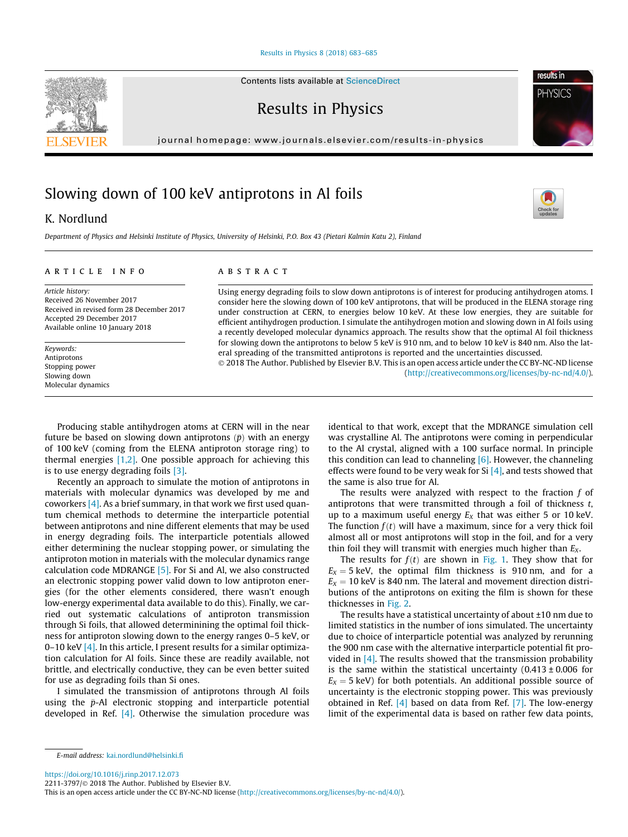#### [Results in Physics 8 \(2018\) 683–685](https://doi.org/10.1016/j.rinp.2017.12.073)

Results in Physics

journal homepage: [www.journals.elsevier.com/results-in-physics](http://www.journals.elsevier.com/results-in-physics)

# Slowing down of 100 keV antiprotons in Al foils

## K. Nordlund

Department of Physics and Helsinki Institute of Physics, University of Helsinki, P.O. Box 43 (Pietari Kalmin Katu 2), Finland

#### article info

Article history: Received 26 November 2017 Received in revised form 28 December 2017 Accepted 29 December 2017 Available online 10 January 2018

Keywords: Antiprotons Stopping power Slowing down Molecular dynamics

#### **ABSTRACT**

Using energy degrading foils to slow down antiprotons is of interest for producing antihydrogen atoms. I consider here the slowing down of 100 keV antiprotons, that will be produced in the ELENA storage ring under construction at CERN, to energies below 10 keV. At these low energies, they are suitable for efficient antihydrogen production. I simulate the antihydrogen motion and slowing down in Al foils using a recently developed molecular dynamics approach. The results show that the optimal Al foil thickness for slowing down the antiprotons to below 5 keV is 910 nm, and to below 10 keV is 840 nm. Also the lateral spreading of the transmitted antiprotons is reported and the uncertainties discussed.

 2018 The Author. Published by Elsevier B.V. This is an open access article under the CC BY-NC-ND license (<http://creativecommons.org/licenses/by-nc-nd/4.0/>).

Producing stable antihydrogen atoms at CERN will in the near future be based on slowing down antiprotons  $(\bar{p})$  with an energy of 100 keV (coming from the ELENA antiproton storage ring) to thermal energies  $[1,2]$ . One possible approach for achieving this is to use energy degrading foils [\[3\]](#page-2-0).

Recently an approach to simulate the motion of antiprotons in materials with molecular dynamics was developed by me and coworkers  $[4]$ . As a brief summary, in that work we first used quantum chemical methods to determine the interparticle potential between antiprotons and nine different elements that may be used in energy degrading foils. The interparticle potentials allowed either determining the nuclear stopping power, or simulating the antiproton motion in materials with the molecular dynamics range calculation code MDRANGE [\[5\]](#page-2-0). For Si and Al, we also constructed an electronic stopping power valid down to low antiproton energies (for the other elements considered, there wasn't enough low-energy experimental data available to do this). Finally, we carried out systematic calculations of antiproton transmission through Si foils, that allowed determinining the optimal foil thickness for antiproton slowing down to the energy ranges 0–5 keV, or 0–10 keV  $[4]$ . In this article, I present results for a similar optimization calculation for Al foils. Since these are readily available, not brittle, and electrically conductive, they can be even better suited for use as degrading foils than Si ones.

I simulated the transmission of antiprotons through Al foils using the  $\bar{p}$ -Al electronic stopping and interparticle potential developed in Ref.  $[4]$ . Otherwise the simulation procedure was identical to that work, except that the MDRANGE simulation cell was crystalline Al. The antiprotons were coming in perpendicular to the Al crystal, aligned with a 100 surface normal. In principle this condition can lead to channeling  $[6]$ . However, the channeling effects were found to be very weak for Si  $[4]$ , and tests showed that the same is also true for Al.

The results were analyzed with respect to the fraction  $f$  of antiprotons that were transmitted through a foil of thickness  $t$ , up to a maximum useful energy  $E_X$  that was either 5 or 10 keV. The function  $f(t)$  will have a maximum, since for a very thick foil almost all or most antiprotons will stop in the foil, and for a very thin foil they will transmit with energies much higher than  $E<sub>x</sub>$ .

The results for  $f(t)$  are shown in [Fig. 1](#page-1-0). They show that for  $E_X = 5$  keV, the optimal film thickness is 910 nm, and for a  $E_X = 10$  keV is 840 nm. The lateral and movement direction distributions of the antiprotons on exiting the film is shown for these thicknesses in [Fig. 2.](#page-1-0)

The results have a statistical uncertainty of about ±10 nm due to limited statistics in the number of ions simulated. The uncertainty due to choice of interparticle potential was analyzed by rerunning the 900 nm case with the alternative interparticle potential fit provided in  $[4]$ . The results showed that the transmission probability is the same within the statistical uncertainty  $(0.413 \pm 0.006$  for  $E<sub>X</sub> = 5$  keV) for both potentials. An additional possible source of uncertainty is the electronic stopping power. This was previously obtained in Ref. [\[4\]](#page-2-0) based on data from Ref. [\[7\]](#page-2-0). The low-energy limit of the experimental data is based on rather few data points,

<https://doi.org/10.1016/j.rinp.2017.12.073>

2211-3797/© 2018 The Author. Published by Elsevier B.V.





**PHYSICS** 

E-mail address: [kai.nordlund@helsinki.fi](mailto:kai.nordlund@helsinki.fi)

This is an open access article under the CC BY-NC-ND license ([http://creativecommons.org/licenses/by-nc-nd/4.0/\)](http://creativecommons.org/licenses/by-nc-nd/4.0/).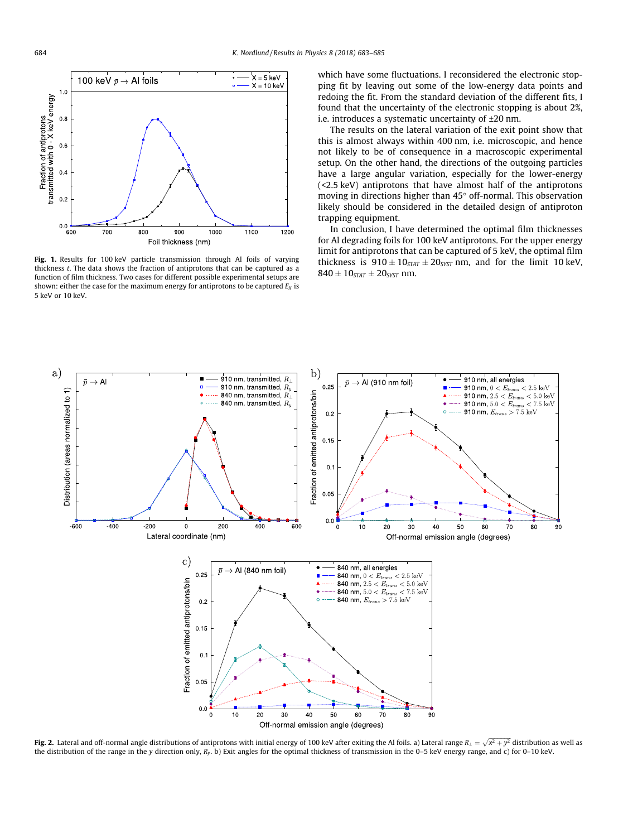<span id="page-1-0"></span>

Fig. 1. Results for 100 keV particle transmission through Al foils of varying thickness t. The data shows the fraction of antiprotons that can be captured as a function of film thickness. Two cases for different possible experimental setups are shown: either the case for the maximum energy for antiprotons to be captured  $E_X$  is 5 keV or 10 keV.

which have some fluctuations. I reconsidered the electronic stopping fit by leaving out some of the low-energy data points and redoing the fit. From the standard deviation of the different fits, I found that the uncertainty of the electronic stopping is about 2%, i.e. introduces a systematic uncertainty of ±20 nm.

The results on the lateral variation of the exit point show that this is almost always within 400 nm, i.e. microscopic, and hence not likely to be of consequence in a macroscopic experimental setup. On the other hand, the directions of the outgoing particles have a large angular variation, especially for the lower-energy (<2.5 keV) antiprotons that have almost half of the antiprotons moving in directions higher than  $45^{\circ}$  off-normal. This observation likely should be considered in the detailed design of antiproton trapping equipment.

In conclusion, I have determined the optimal film thicknesses for Al degrading foils for 100 keV antiprotons. For the upper energy limit for antiprotons that can be captured of 5 keV, the optimal film thickness is  $910 \pm 10_{STAT} \pm 20_{SYST}$  nm, and for the limit 10 keV,  $840 \pm 10_{STAT} \pm 20_{SYST}$  nm.



**Fig. 2.** Lateral and off-normal angle distributions of antiprotons with initial energy of 100 keV after exiting the Al foils. a) Lateral range  $R_{\perp} = \sqrt{x^2 + y^2}$  distribution as well as the distribution of the range in the y direction only, Ry. b) Exit angles for the optimal thickness of transmission in the 0–5 keV energy range, and c) for 0–10 keV.